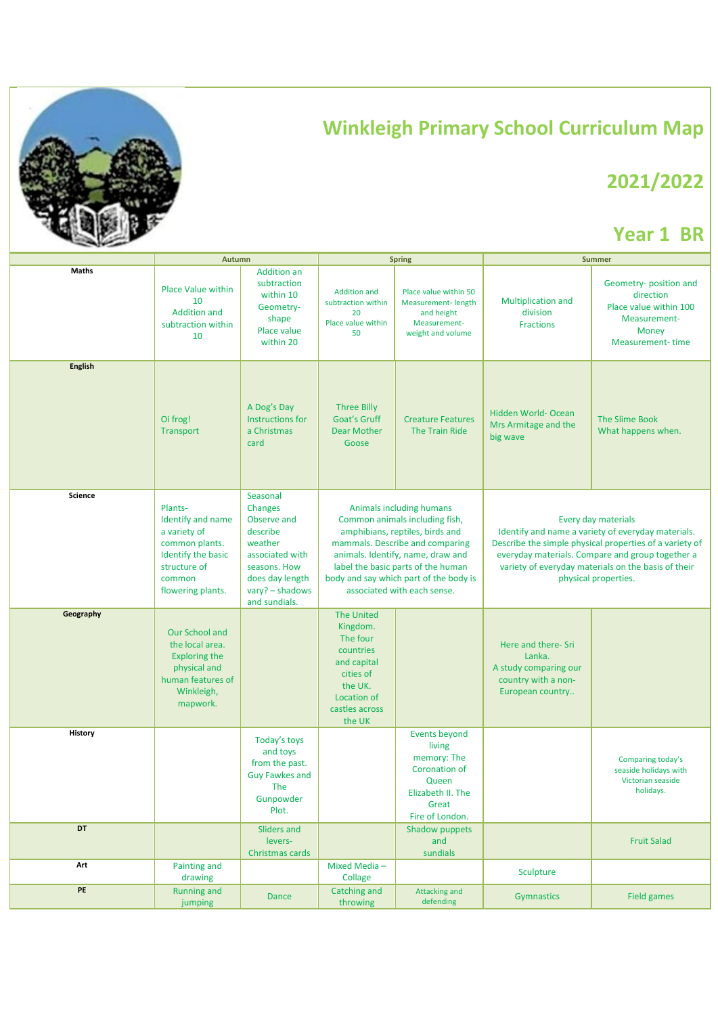

## **Winkleigh Primary School Curriculum Map**

## **2021/2022**

## **Year 1 BR**

|                | Autumn                                                                                                                              |                                                                                                                                                     | <b>Spring</b>                                                                                                                                                                                                                                                                        |                                                                                                                                 | <b>Summer</b>                                                                                                                                                                                                                                                           |                                                                                                                   |
|----------------|-------------------------------------------------------------------------------------------------------------------------------------|-----------------------------------------------------------------------------------------------------------------------------------------------------|--------------------------------------------------------------------------------------------------------------------------------------------------------------------------------------------------------------------------------------------------------------------------------------|---------------------------------------------------------------------------------------------------------------------------------|-------------------------------------------------------------------------------------------------------------------------------------------------------------------------------------------------------------------------------------------------------------------------|-------------------------------------------------------------------------------------------------------------------|
| Maths          | <b>Place Value within</b><br>10<br><b>Addition and</b><br>subtraction within<br>10                                                  | <b>Addition an</b><br>subtraction<br>within 10<br>Geometry-<br>shape<br>Place value<br>within 20                                                    | <b>Addition and</b><br>subtraction within<br>20<br>Place value within<br>50                                                                                                                                                                                                          | Place value within 50<br>Measurement-length<br>and height<br>Measurement-<br>weight and volume                                  | Multiplication and<br>division<br><b>Fractions</b>                                                                                                                                                                                                                      | Geometry- position and<br>direction<br>Place value within 100<br>Measurement-<br>Money<br><b>Measurement-time</b> |
| <b>English</b> | Oi frog!<br>Transport                                                                                                               | A Dog's Day<br>Instructions for<br>a Christmas<br>card                                                                                              | <b>Three Billy</b><br>Goat's Gruff<br><b>Dear Mother</b><br>Goose                                                                                                                                                                                                                    | <b>Creature Features</b><br>The Train Ride                                                                                      | Hidden World- Ocean<br>Mrs Armitage and the<br>big wave                                                                                                                                                                                                                 | The Slime Book<br>What happens when.                                                                              |
| Science        | Plants-<br>Identify and name<br>a variety of<br>common plants.<br>Identify the basic<br>structure of<br>common<br>flowering plants. | Seasonal<br>Changes<br>Observe and<br>describe<br>weather<br>associated with<br>seasons. How<br>does day length<br>vary? - shadows<br>and sundials. | Animals including humans<br>Common animals including fish,<br>amphibians, reptiles, birds and<br>mammals. Describe and comparing<br>animals. Identify, name, draw and<br>label the basic parts of the human<br>body and say which part of the body is<br>associated with each sense. |                                                                                                                                 | Every day materials<br>Identify and name a variety of everyday materials.<br>Describe the simple physical properties of a variety of<br>everyday materials. Compare and group together a<br>variety of everyday materials on the basis of their<br>physical properties. |                                                                                                                   |
| Geography      | Our School and<br>the local area.<br><b>Exploring the</b><br>physical and<br>human features of<br>Winkleigh,<br>mapwork.            |                                                                                                                                                     | <b>The United</b><br>Kingdom.<br>The four<br>countries<br>and capital<br>cities of<br>the UK.<br>Location of<br>castles across<br>the UK                                                                                                                                             |                                                                                                                                 | Here and there- Sri<br>Lanka.<br>A study comparing our<br>country with a non-<br>European country                                                                                                                                                                       |                                                                                                                   |
| <b>History</b> |                                                                                                                                     | Today's toys<br>and toys<br>from the past.<br><b>Guy Fawkes and</b><br>The<br>Gunpowder<br>Plot.                                                    |                                                                                                                                                                                                                                                                                      | <b>Events beyond</b><br>living<br>memory: The<br><b>Coronation of</b><br>Queen<br>Elizabeth II. The<br>Great<br>Fire of London. |                                                                                                                                                                                                                                                                         | Comparing today's<br>seaside holidays with<br>Victorian seaside<br>holidays.                                      |
| DT             |                                                                                                                                     | Sliders and<br>levers-<br>Christmas cards                                                                                                           |                                                                                                                                                                                                                                                                                      | Shadow puppets<br>and<br>sundials                                                                                               |                                                                                                                                                                                                                                                                         | <b>Fruit Salad</b>                                                                                                |
| Art            | Painting and<br>drawing                                                                                                             |                                                                                                                                                     | Mixed Media-<br>Collage                                                                                                                                                                                                                                                              |                                                                                                                                 | Sculpture                                                                                                                                                                                                                                                               |                                                                                                                   |
| PE             | <b>Running and</b><br>jumping                                                                                                       | <b>Dance</b>                                                                                                                                        | Catching and<br>throwing                                                                                                                                                                                                                                                             | <b>Attacking and</b><br>defending                                                                                               | Gymnastics                                                                                                                                                                                                                                                              | <b>Field games</b>                                                                                                |